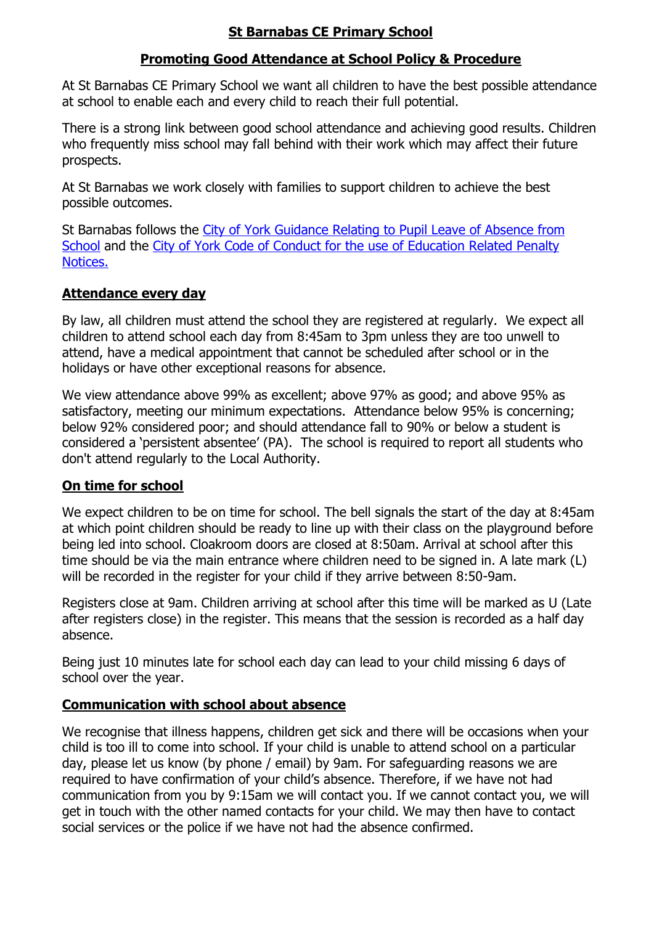# **St Barnabas CE Primary School**

# **Promoting Good Attendance at School Policy & Procedure**

At St Barnabas CE Primary School we want all children to have the best possible attendance at school to enable each and every child to reach their full potential.

There is a strong link between good school attendance and achieving good results. Children who frequently miss school may fall behind with their work which may affect their future prospects.

At St Barnabas we work closely with families to support children to achieve the best possible outcomes.

St Barnabas follows the [City of York Guidance Relating to Pupil Leave of Absence from](https://stbarnabasprimary.co.uk/wp-content/uploads/2018/10/CYC-Guidance-relating-to-Pupil-Leave-of-Absence-from-school.pdf)  [School](https://stbarnabasprimary.co.uk/wp-content/uploads/2018/10/CYC-Guidance-relating-to-Pupil-Leave-of-Absence-from-school.pdf) and the City [of York Code of Conduct for the use of Education Related Penalty](https://stbarnabasprimary.co.uk/wp-content/uploads/2018/10/CYC-Code-of-Conduct-for-the-use-of-Education-Related-Fixed-Penalty-Notices-August-2018.pdf)  [Notices.](https://stbarnabasprimary.co.uk/wp-content/uploads/2018/10/CYC-Code-of-Conduct-for-the-use-of-Education-Related-Fixed-Penalty-Notices-August-2018.pdf)

# **Attendance every day**

By law, all children must attend the school they are registered at regularly. We expect all children to attend school each day from 8:45am to 3pm unless they are too unwell to attend, have a medical appointment that cannot be scheduled after school or in the holidays or have other exceptional reasons for absence.

We view attendance above 99% as excellent; above 97% as good; and above 95% as satisfactory, meeting our minimum expectations. Attendance below 95% is concerning; below 92% considered poor; and should attendance fall to 90% or below a student is considered a 'persistent absentee' (PA). The school is required to report all students who don't attend regularly to the Local Authority.

# **On time for school**

We expect children to be on time for school. The bell signals the start of the day at 8:45am at which point children should be ready to line up with their class on the playground before being led into school. Cloakroom doors are closed at 8:50am. Arrival at school after this time should be via the main entrance where children need to be signed in. A late mark (L) will be recorded in the register for your child if they arrive between 8:50-9am.

Registers close at 9am. Children arriving at school after this time will be marked as U (Late after registers close) in the register. This means that the session is recorded as a half day absence.

Being just 10 minutes late for school each day can lead to your child missing 6 days of school over the year.

### **Communication with school about absence**

We recognise that illness happens, children get sick and there will be occasions when your child is too ill to come into school. If your child is unable to attend school on a particular day, please let us know (by phone / email) by 9am. For safeguarding reasons we are required to have confirmation of your child's absence. Therefore, if we have not had communication from you by 9:15am we will contact you. If we cannot contact you, we will get in touch with the other named contacts for your child. We may then have to contact social services or the police if we have not had the absence confirmed.